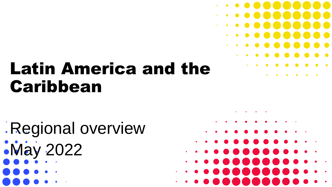# Latin America and the Caribbean

Regional overview May 2022



 $\bullet\,\bullet\,\bullet\,\bullet\,\bullet\,\bullet\,\bullet\,\bullet\,\bullet\,\bullet$ 

 $\bullet$  . . . . . . . . .

 $\bullet$   $\bullet$   $\bullet$   $\bullet$   $\bullet$   $\bullet$   $\bullet$   $\bullet$ 

 $\bullet\hspace{0.1cm} \bullet\hspace{0.1cm} \bullet\hspace{0.1cm} \bullet\hspace{0.1cm} \bullet\hspace{0.1cm} \bullet\hspace{0.1cm} \bullet\hspace{0.1cm} \bullet\hspace{0.1cm} \bullet\hspace{0.1cm} \bullet\hspace{0.1cm} \bullet\hspace{0.1cm} \bullet\hspace{0.1cm} \bullet\hspace{0.1cm} \bullet$ 

. . . . . .

. . . .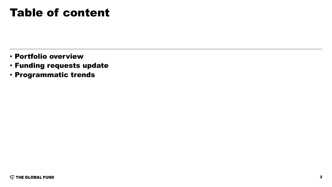#### Table of content

- Portfolio overview
- Funding requests update
- Programmatic trends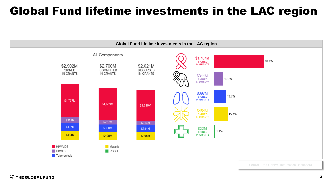### Global Fund lifetime investments in the LAC region

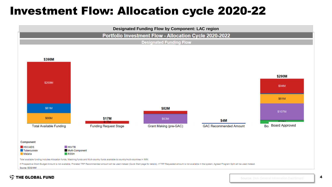#### Investment Flow: Allocation cycle 2020-22





4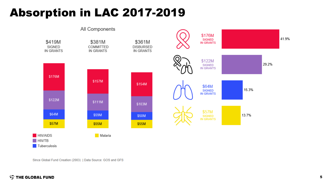### Absorption in LAC 2017-2019



Since Global Fund Creation (2003) | Data Source: GOS and GFS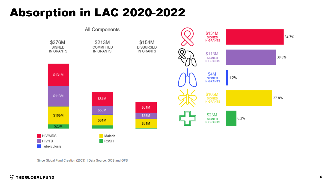### Absorption in LAC 2020-2022



Since Global Fund Creation (2003) | Data Source: GOS and GFS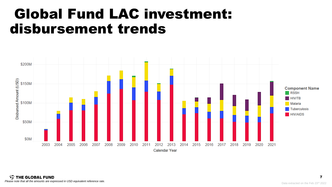## Global Fund LAC investment: disbursement trends

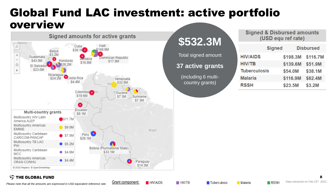#### Global Fund LAC investment: active portfolio overview



## **\$532.3M**

Total signed amount **37 active grants**

> (including 6 multicountry grants)

| Signed & Disbursed amounts |                    |  |  |
|----------------------------|--------------------|--|--|
|                            | (USD equ ref rate) |  |  |

|                     | <b>Signed</b> |          | <b>Disbursed</b> |
|---------------------|---------------|----------|------------------|
| <b>HIV/AIDS</b>     |               | \$198.3M | \$116.7M         |
| <b>HIV/TB</b>       |               | \$139.6M | \$51.9M          |
| <b>Tuberculosis</b> |               | \$54.0M  | \$38.1M          |
| <b>Malaria</b>      |               | \$116.9M | \$62.4M          |
| <b>RSSH</b>         |               | \$23.5M  | \$3.2M           |

#### **STHE GLOBAL FUND**

*Please note that all the amounts are expressed in USD equivalent reference rate.*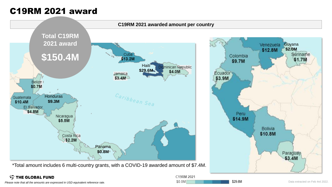#### C19RM 2021 award



\*Total amount includes 6 multi-country grants, with a COVID-19 awarded amount of \$7.4M.

#### **STHE GLOBAL FUND**



\$29.6M

Please note that all the amounts are expressed in USD equivalent reference rate. **Exerced 10** SO.OM **CONSIDER SO.OM SOLOM SOLOM SOLOM SOLOM SOLOM SOLOM Data extracted on Feb 4rd 2022.**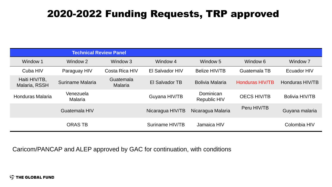#### 2020-2022 Funding Requests, TRP approved

| <b>Technical Review Panel</b>  |                      |                             |                       |                                  |                        |                       |
|--------------------------------|----------------------|-----------------------------|-----------------------|----------------------------------|------------------------|-----------------------|
| Window 1                       | Window 2             | Window 3                    | Window 4              | Window 5                         | Window 6               | Window <sub>7</sub>   |
| Cuba HIV                       | Paraguay HIV         | Costa Rica HIV              | El Salvador HIV       | <b>Belize HIV/TB</b>             | Guatemala TB           | Ecuador HIV           |
| Haiti HIV/TB,<br>Malaria, RSSH | Suriname Malaria     | Guatemala<br><b>Malaria</b> | <b>El Salvador TB</b> | <b>Bolivia Malaria</b>           | <b>Honduras HIV/TB</b> | Honduras HIV/TB       |
| <b>Honduras Malaria</b>        | Venezuela<br>Malaria |                             | Guyana HIV/TB         | Dominican<br><b>Republic HIV</b> | <b>OECS HIV/TB</b>     | <b>Bolivia HIV/TB</b> |
| Guatemala HIV                  |                      | Nicaragua HIV/TB            | Nicaragua Malaria     | Peru HIV/TB                      | Guyana malaria         |                       |
| <b>ORAS TB</b>                 |                      | Suriname HIV/TB             | Jamaica HIV           |                                  | Colombia HIV           |                       |

Caricom/PANCAP and ALEP approved by GAC for continuation, with conditions